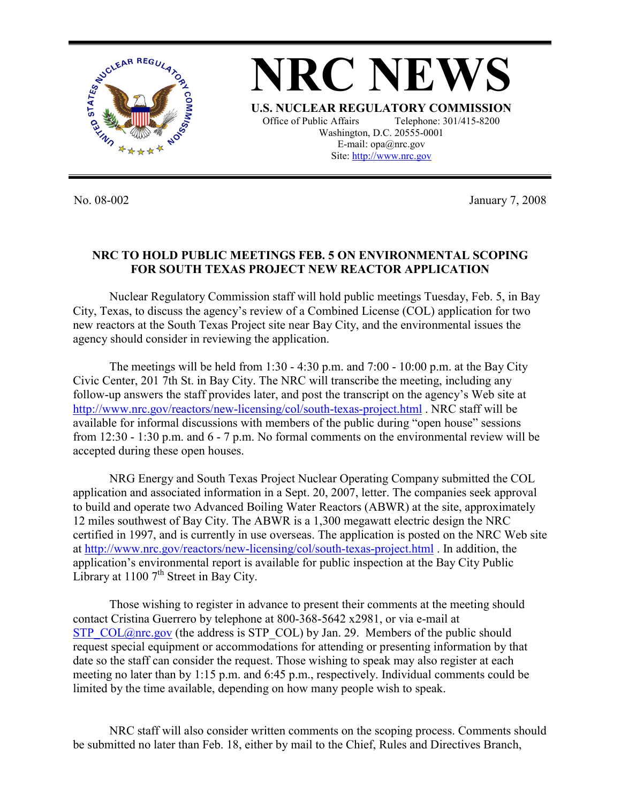

No. 08-002 January 7, 2008

## **NRC TO HOLD PUBLIC MEETINGS FEB. 5 ON ENVIRONMENTAL SCOPING FOR SOUTH TEXAS PROJECT NEW REACTOR APPLICATION**

 Nuclear Regulatory Commission staff will hold public meetings Tuesday, Feb. 5, in Bay City, Texas, to discuss the agency's review of a Combined License (COL) application for two new reactors at the South Texas Project site near Bay City, and the environmental issues the agency should consider in reviewing the application.

The meetings will be held from  $1:30 - 4:30$  p.m. and  $7:00 - 10:00$  p.m. at the Bay City Civic Center, 201 7th St. in Bay City. The NRC will transcribe the meeting, including any follow-up answers the staff provides later, and post the transcript on the agency's Web site at http://www.nrc.gov/reactors/new-licensing/col/south-texas-project.html . NRC staff will be available for informal discussions with members of the public during "open house" sessions from 12:30 - 1:30 p.m. and 6 - 7 p.m. No formal comments on the environmental review will be accepted during these open houses.

NRG Energy and South Texas Project Nuclear Operating Company submitted the COL application and associated information in a Sept. 20, 2007, letter. The companies seek approval to build and operate two Advanced Boiling Water Reactors (ABWR) at the site, approximately 12 miles southwest of Bay City. The ABWR is a 1,300 megawatt electric design the NRC certified in 1997, and is currently in use overseas. The application is posted on the NRC Web site at http://www.nrc.gov/reactors/new-licensing/col/south-texas-project.html . In addition, the application's environmental report is available for public inspection at the Bay City Public Library at  $1100$  7<sup>th</sup> Street in Bay City.

 Those wishing to register in advance to present their comments at the meeting should contact Cristina Guerrero by telephone at 800-368-5642 x2981, or via e-mail at STP\_COL@nrc.gov (the address is STP\_COL) by Jan. 29. Members of the public should request special equipment or accommodations for attending or presenting information by that date so the staff can consider the request. Those wishing to speak may also register at each meeting no later than by 1:15 p.m. and 6:45 p.m., respectively. Individual comments could be limited by the time available, depending on how many people wish to speak.

NRC staff will also consider written comments on the scoping process. Comments should be submitted no later than Feb. 18, either by mail to the Chief, Rules and Directives Branch,